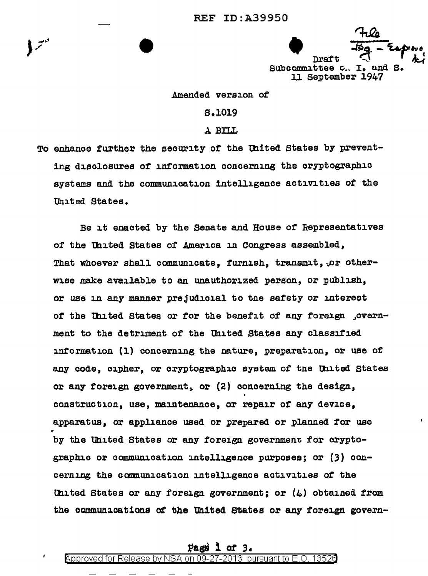Draft Subcommittee c. I. and S. 11 September 1947

# Amended version of

# S.1019

### A BILL

To enhance further the security of the United States by preventing disclosures of information concerning the cryptographic systems and the communication intelligence activities of the United States.

Be it enacted by the Senate and House of Representatives of the United States of America in Congress assembled, That whoever shall communicate, furnish, transmit, or otherwise make available to an unauthorized person, or publish, or use in any manner prejudicial to the safety or interest of the United States or for the benefit of any foreign , overnment to the detriment of the United States any classified information (1) concerning the nature, preparation, or use of any code, cipher, or cryptographic system of the United States or any foreign government, or (2) concerning the design, construction, use, maintenance, or repair of any device, apparatus, or appliance used or prepared or planned for use by the United States or any foreign government for cryptographic or communication intelligence purposes; or (3) concerning the communication intelligence activities of the United States or any foreign government; or  $(4)$  obtained from the communications of the United States or any foreign govern-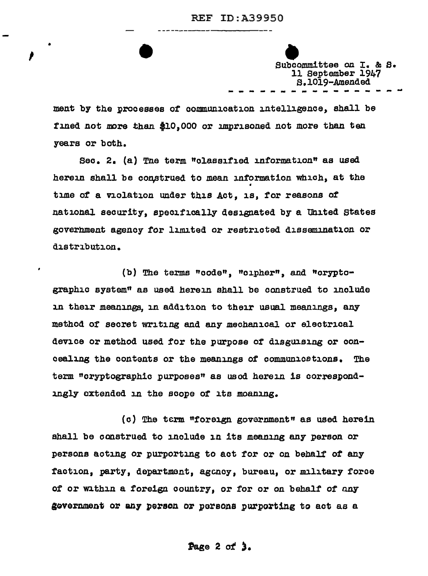# REF ID:A39950 ----------------

Subcommittee on I. & S. 11 September 1947 S.1019-Amended<br>
----------------

ment by the processes of communication intelligence, shall be fined not more than \$10,000 or imprisoned not more than ten years or both.

•

 $\mathbf{v} = \begin{bmatrix} 1 & 1 \\ 1 & 1 \end{bmatrix}$ 

Sec. 2. (a) The term "olassified information" as used herein shall be construed to mean information which, at the • time of a violation under this Act. is, for reasons of national security, specifically designated by a United States goverhment agency for limited or restricted dissemination or distribution.

(b) The terms "code", "cipher", and "cryptographic system" as used herein shall be construed to include In their meanings, in addition to their usual meanings, any method of secret writing and any mechanical or electrical device or method used for the purpose of disguising or concealing the contents or the meanings of communications. The term "cryptographic purposes" as used herein is correspondingly extended in the scope of its moaning.

 $(c)$  The term "foreign government" as used herein shall be construed to include in its meaning any person or persons acting or purporting to act for or on behalf of any faction, party, department, agency, bureau, or military force of or within a foreign country, or for or on behalf of any government or any person or persons purporting to act as a